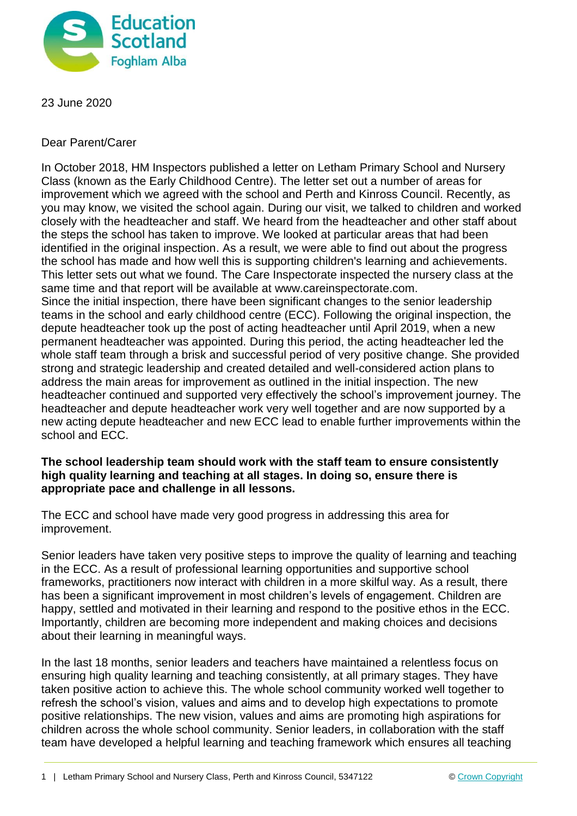

23 June 2020

Dear Parent/Carer

In October 2018, HM Inspectors published a letter on Letham Primary School and Nursery Class (known as the Early Childhood Centre). The letter set out a number of areas for improvement which we agreed with the school and Perth and Kinross Council. Recently, as you may know, we visited the school again. During our visit, we talked to children and worked closely with the headteacher and staff. We heard from the headteacher and other staff about the steps the school has taken to improve. We looked at particular areas that had been identified in the original inspection. As a result, we were able to find out about the progress the school has made and how well this is supporting children's learning and achievements. This letter sets out what we found. The Care Inspectorate inspected the nursery class at the same time and that report will be available at www.careinspectorate.com. Since the initial inspection, there have been significant changes to the senior leadership teams in the school and early childhood centre (ECC). Following the original inspection, the depute headteacher took up the post of acting headteacher until April 2019, when a new permanent headteacher was appointed. During this period, the acting headteacher led the whole staff team through a brisk and successful period of very positive change. She provided strong and strategic leadership and created detailed and well-considered action plans to address the main areas for improvement as outlined in the initial inspection. The new headteacher continued and supported very effectively the school's improvement journey. The headteacher and depute headteacher work very well together and are now supported by a new acting depute headteacher and new ECC lead to enable further improvements within the school and ECC.

# **The school leadership team should work with the staff team to ensure consistently high quality learning and teaching at all stages. In doing so, ensure there is appropriate pace and challenge in all lessons.**

The ECC and school have made very good progress in addressing this area for improvement.

Senior leaders have taken very positive steps to improve the quality of learning and teaching in the ECC. As a result of professional learning opportunities and supportive school frameworks, practitioners now interact with children in a more skilful way. As a result, there has been a significant improvement in most children's levels of engagement. Children are happy, settled and motivated in their learning and respond to the positive ethos in the ECC. Importantly, children are becoming more independent and making choices and decisions about their learning in meaningful ways.

In the last 18 months, senior leaders and teachers have maintained a relentless focus on ensuring high quality learning and teaching consistently, at all primary stages. They have taken positive action to achieve this. The whole school community worked well together to refresh the school's vision, values and aims and to develop high expectations to promote positive relationships. The new vision, values and aims are promoting high aspirations for children across the whole school community. Senior leaders, in collaboration with the staff team have developed a helpful learning and teaching framework which ensures all teaching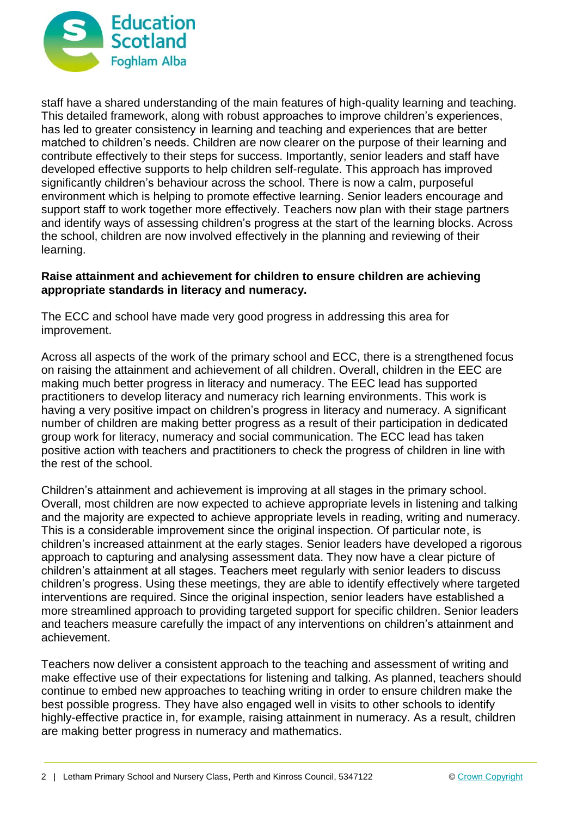

staff have a shared understanding of the main features of high-quality learning and teaching. This detailed framework, along with robust approaches to improve children's experiences, has led to greater consistency in learning and teaching and experiences that are better matched to children's needs. Children are now clearer on the purpose of their learning and contribute effectively to their steps for success. Importantly, senior leaders and staff have developed effective supports to help children self-regulate. This approach has improved significantly children's behaviour across the school. There is now a calm, purposeful environment which is helping to promote effective learning. Senior leaders encourage and support staff to work together more effectively. Teachers now plan with their stage partners and identify ways of assessing children's progress at the start of the learning blocks. Across the school, children are now involved effectively in the planning and reviewing of their learning.

### **Raise attainment and achievement for children to ensure children are achieving appropriate standards in literacy and numeracy.**

The ECC and school have made very good progress in addressing this area for improvement.

Across all aspects of the work of the primary school and ECC, there is a strengthened focus on raising the attainment and achievement of all children. Overall, children in the EEC are making much better progress in literacy and numeracy. The EEC lead has supported practitioners to develop literacy and numeracy rich learning environments. This work is having a very positive impact on children's progress in literacy and numeracy. A significant number of children are making better progress as a result of their participation in dedicated group work for literacy, numeracy and social communication. The ECC lead has taken positive action with teachers and practitioners to check the progress of children in line with the rest of the school.

Children's attainment and achievement is improving at all stages in the primary school. Overall, most children are now expected to achieve appropriate levels in listening and talking and the majority are expected to achieve appropriate levels in reading, writing and numeracy. This is a considerable improvement since the original inspection. Of particular note, is children's increased attainment at the early stages. Senior leaders have developed a rigorous approach to capturing and analysing assessment data. They now have a clear picture of children's attainment at all stages. Teachers meet regularly with senior leaders to discuss children's progress. Using these meetings, they are able to identify effectively where targeted interventions are required. Since the original inspection, senior leaders have established a more streamlined approach to providing targeted support for specific children. Senior leaders and teachers measure carefully the impact of any interventions on children's attainment and achievement.

Teachers now deliver a consistent approach to the teaching and assessment of writing and make effective use of their expectations for listening and talking. As planned, teachers should continue to embed new approaches to teaching writing in order to ensure children make the best possible progress. They have also engaged well in visits to other schools to identify highly-effective practice in, for example, raising attainment in numeracy. As a result, children are making better progress in numeracy and mathematics.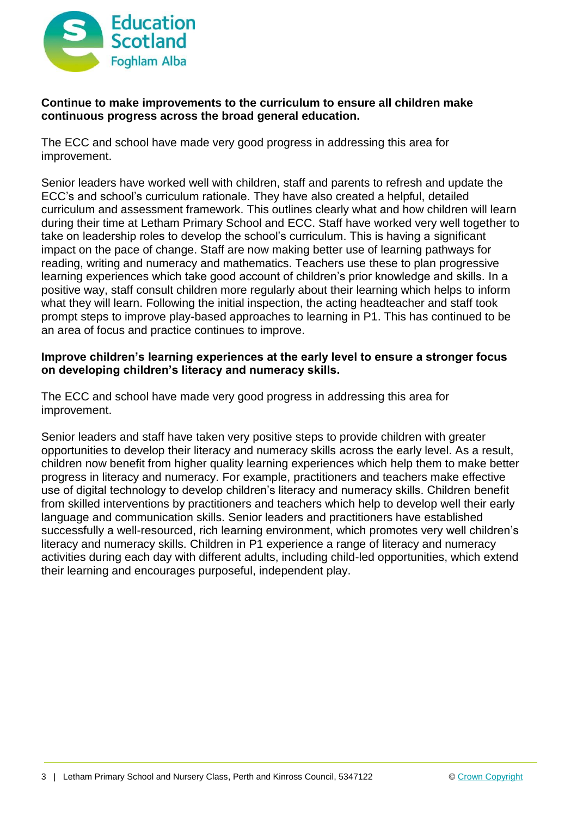

# **Continue to make improvements to the curriculum to ensure all children make continuous progress across the broad general education.**

The ECC and school have made very good progress in addressing this area for improvement.

Senior leaders have worked well with children, staff and parents to refresh and update the ECC's and school's curriculum rationale. They have also created a helpful, detailed curriculum and assessment framework. This outlines clearly what and how children will learn during their time at Letham Primary School and ECC. Staff have worked very well together to take on leadership roles to develop the school's curriculum. This is having a significant impact on the pace of change. Staff are now making better use of learning pathways for reading, writing and numeracy and mathematics. Teachers use these to plan progressive learning experiences which take good account of children's prior knowledge and skills. In a positive way, staff consult children more regularly about their learning which helps to inform what they will learn. Following the initial inspection, the acting headteacher and staff took prompt steps to improve play-based approaches to learning in P1. This has continued to be an area of focus and practice continues to improve.

### **Improve children's learning experiences at the early level to ensure a stronger focus on developing children's literacy and numeracy skills.**

The ECC and school have made very good progress in addressing this area for improvement.

Senior leaders and staff have taken very positive steps to provide children with greater opportunities to develop their literacy and numeracy skills across the early level. As a result, children now benefit from higher quality learning experiences which help them to make better progress in literacy and numeracy. For example, practitioners and teachers make effective use of digital technology to develop children's literacy and numeracy skills. Children benefit from skilled interventions by practitioners and teachers which help to develop well their early language and communication skills. Senior leaders and practitioners have established successfully a well-resourced, rich learning environment, which promotes very well children's literacy and numeracy skills. Children in P1 experience a range of literacy and numeracy activities during each day with different adults, including child-led opportunities, which extend their learning and encourages purposeful, independent play.